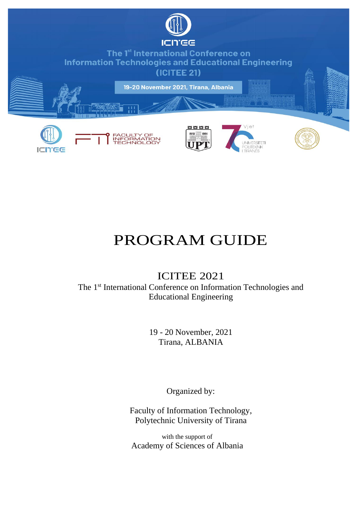

# <span id="page-0-0"></span>PROGRAM GUIDE

## ICITEE 2021

The 1<sup>st</sup> International Conference on Information Technologies and Educational Engineering

> 19 - 20 November, 2021 Tirana, ALBANIA

> > Organized by:

Faculty of Information Technology, Polytechnic University of Tirana

with the support of Academy of Sciences of Albania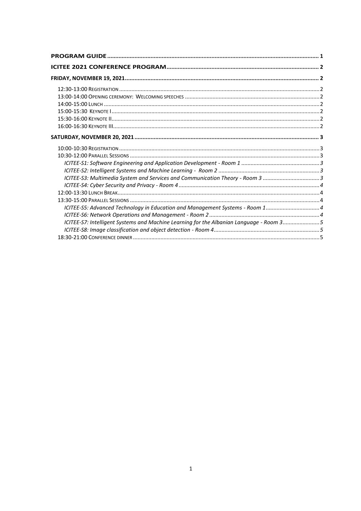| ICITEE-S3: Multimedia System and Services and Communication Theory - Room 3 3           |  |
|-----------------------------------------------------------------------------------------|--|
|                                                                                         |  |
|                                                                                         |  |
|                                                                                         |  |
|                                                                                         |  |
|                                                                                         |  |
| ICITEE-S7: Intelligent Systems and Machine Learning for the Albanian Language - Room 35 |  |
|                                                                                         |  |
|                                                                                         |  |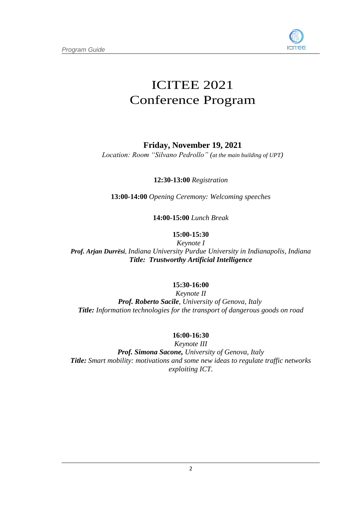

## <span id="page-2-0"></span>ICITEE 2021 Conference Program

## **Friday, November 19, 2021**

<span id="page-2-2"></span><span id="page-2-1"></span>*Location: Room "Silvano Pedrollo" (at the main building of UPT)*

**12:30-13:00** *Registration*

**13:00-14:00** *Opening Ceremony: Welcoming speeches*

**14:00-15:00** *Lunch Break*

## **15:00-15:30**

<span id="page-2-5"></span><span id="page-2-4"></span><span id="page-2-3"></span>*Keynote I Prof. Arjan Durrësi, Indiana University Purdue University in Indianapolis, Indiana Title: Trustworthy Artificial Intelligence*

### **15:30-16:00**

<span id="page-2-6"></span>*Keynote II Prof. Roberto Sacile, University of Genova, Italy Title: Information technologies for the transport of dangerous goods on road*

### **16:00-16:30**

*Keynote III Prof. Simona Sacone, University of Genova, Italy Title: Smart mobility: motivations and some new ideas to regulate traffic networks exploiting ICT.*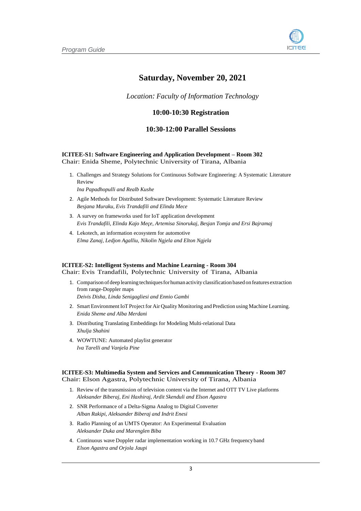

## **Saturday, November 20, 2021**

<span id="page-3-0"></span>*Location: Faculty of Information Technology*

#### **10:00-10:30 Registration**

#### **10:30-12:00 Parallel Sessions**

#### <span id="page-3-2"></span><span id="page-3-1"></span>**ICITEE-S1: Software Engineering and Application Development – Room 302** Chair: Enida Sheme, Polytechnic University of Tirana, Albania

1. Challenges and Strategy Solutions for Continuous Software Engineering: A Systematic Literature Review

*Ina Papadhopulli and Realb Kushe*

- 2. Agile Methods for Distributed Software Development: Systematic Literature Review *Besjana Muraku, Evis Trandafili and Elinda Mece*
- 3. A survey on frameworks used for IoT application development *Evis Trandafili, Elinda Kajo Meçe, Artemisa Sinorukaj, Besjan Tomja and Ersi Bajramaj*
- 4. Lekotech, an information ecosystem for automotive *Elma Zanaj, Ledjon Agalliu, Nikolin Ngjela and Elton Ngjela*

#### <span id="page-3-3"></span>**ICITEE-S2: Intelligent Systems and Machine Learning - Room 304**

Chair: Evis Trandafili, Polytechnic University of Tirana, Albania

- 1. Comparison of deep learning techniquesforhuman activity classification based on features extraction from range-Doppler maps *Deivis Disha, Linda Senigagliesi and Ennio Gambi*
- 2. Smart Environment IoT Project for Air Quality Monitoring and Prediction using Machine Learning. *Enida Sheme and Alba Merdani*
- 3. Distributing Translating Embeddings for Modeling Multi-relational Data *Xhulja Shahini*
- 4. WOWTUNE: Automated playlist generator *Iva Tarelli and Vanjela Pine*

#### <span id="page-3-4"></span>**ICITEE-S3: Multimedia System and Services and Communication Theory - Room 307** Chair: Elson Agastra, Polytechnic University of Tirana, Albania

- 1. Review of the transmission of television content via the Internet and OTT TV Live platforms *Aleksander Biberaj, Eni Haxhiraj, Ardit Skenduli and Elson Agastra*
- 2. SNR Performance of a Delta-Sigma Analog to Digital Converter *Alban Rakipi, Aleksander Biberaj and Indrit Enesi*
- 3. Radio Planning of an UMTS Operator: An Experimental Evaluation *Aleksander Duka and Marenglen Biba*
- 4. Continuous wave Doppler radar implementation working in 10.7 GHz frequency band *Elson Agastra and Orjola Jaupi*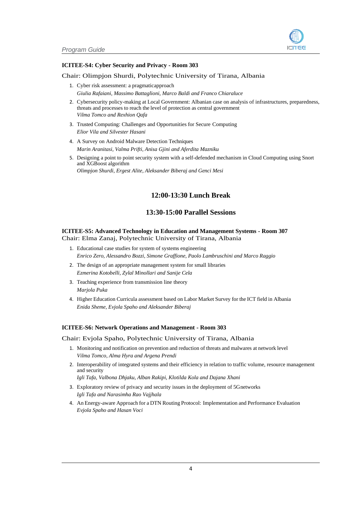#### <span id="page-4-0"></span>**ICITEE-S4: Cyber Security and Privacy - Room 303**

#### Chair: Olimpjon Shurdi, Polytechnic University of Tirana, Albania

- 1. Cyber risk assessment: a pragmaticapproach *Giulia Rafaiani, Massimo Battaglioni, Marco Baldi and Franco Chiaraluce*
- 2. Cybersecurity policy-making at Local Government: Albanian case on analysis of infrastructures, preparedness, threats and processes to reach the level of protection as central government *Vilma Tomco and Rexhion Qafa*
- 3. Trusted Computing: Challenges and Opportunities for Secure Computing *Elior Vila and Silvester Hasani*
- 4. A Survey on Android Malware Detection Techniques *Marin Aranitasi, Valma Prifti, Anisa Gjini and Aferdita Mazniku*
- 5. Designing a point to point security system with a self-defended mechanism in Cloud Computing using Snort and XGBoost algorithm *Olimpjon Shurdi, Ergest Alite, Aleksander Biberaj and Genci Mesi*

#### **12:00-13:30 Lunch Break**

#### **13:30-15:00 Parallel Sessions**

#### <span id="page-4-3"></span><span id="page-4-2"></span><span id="page-4-1"></span>**ICITEE-S5: Advanced Technology in Education and Management Systems - Room 307** Chair: Elma Zanaj, Polytechnic University of Tirana, Albania

- 1. Educational case studies for system of systems engineering *Enrico Zero, Alessandro Bozzi, Simone Graffione, Paolo Lambruschini and Marco Raggio*
- 2. The design of an appropriate management system for small libraries *Ezmerina Kotobelli, Zylal Minollari and Sanije Cela*
- 3. Teaching experience from transmission line theory *Marjola Puka*
- 4. Higher Education Curricula assessment based on Labor Market Survey for the ICT field in Albania *Enida Sheme, Evjola Spaho and Aleksander Biberaj*

#### <span id="page-4-4"></span>**ICITEE-S6: Network Operations and Management - Room 303**

#### Chair: Evjola Spaho, Polytechnic University of Tirana, Albania

- 1. Monitoring and notification on prevention and reduction of threats and malwares at network level *Vilma Tomco, Alma Hyra and Argena Prendi*
- 2. Interoperability of integrated systems and their efficiency in relation to traffic volume, resource management and security

*Igli Tafa, Valbona Dhjaku, Alban Rakipi, Klotilda Kola and Dajana Xhani*

- 3. Exploratory review of privacy and security issues in the deployment of 5Gnetworks *Igli Tafa and Narasimha Rao Vajjhala*
- 4. An Energy-aware Approach for a DTN Routing Protocol: Implementation and Performance Evaluation *Evjola Spaho and Hasan Voci*